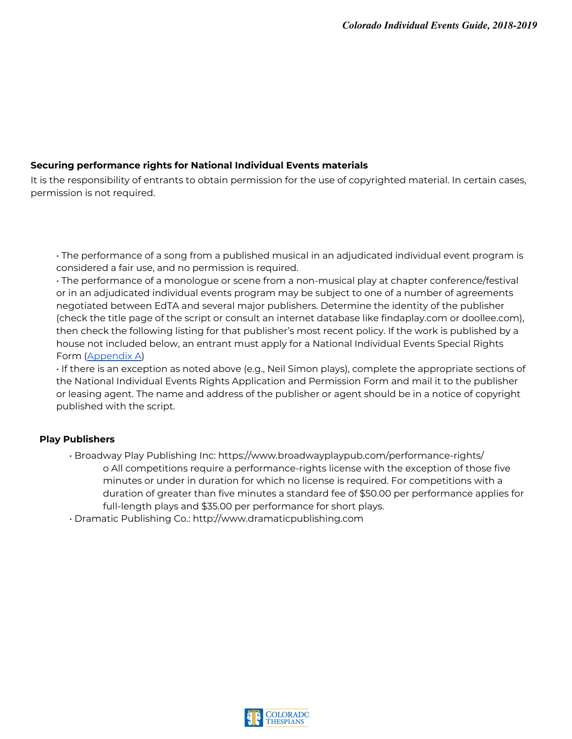## **Securing performance rights for National Individual Events materials**

It is the responsibility of entrants to obtain permission for the use of copyrighted material. In certain cases, permission is not required.

• The performance of a song from a published musical in an adjudicated individual event program is considered a fair use, and no permission is required.

• The performance of a monologue or scene from a non-musical play at chapter conference/festival or in an adjudicated individual events program may be subject to one of a number of agreements negotiated between EdTA and several major publishers. Determine the identity of the publisher (check the title page of the script or consult an internet database like findaplay.com or doollee.com), then check the following listing for that publisher's most recent policy. If the work is published by a house not included below, an entrant must apply for a National Individual Events Special Rights Form [\(Appendix A\)](#page-2-0)

• If there is an exception as noted above (e.g., Neil Simon plays), complete the appropriate sections of the National Individual Events Rights Application and Permission Form and mail it to the publisher or leasing agent. The name and address of the publisher or agent should be in a notice of copyright published with the script.

## **Play Publishers**

- Broadway Play Publishing Inc: https://www.broadwayplaypub.com/performance-rights/ o All competitions require a performance-rights license with the exception of those five minutes or under in duration for which no license is required. For competitions with a duration of greater than five minutes a standard fee of \$50.00 per performance applies for full-length plays and \$35.00 per performance for short plays.
- Dramatic Publishing Co.: http://www.dramaticpublishing.com

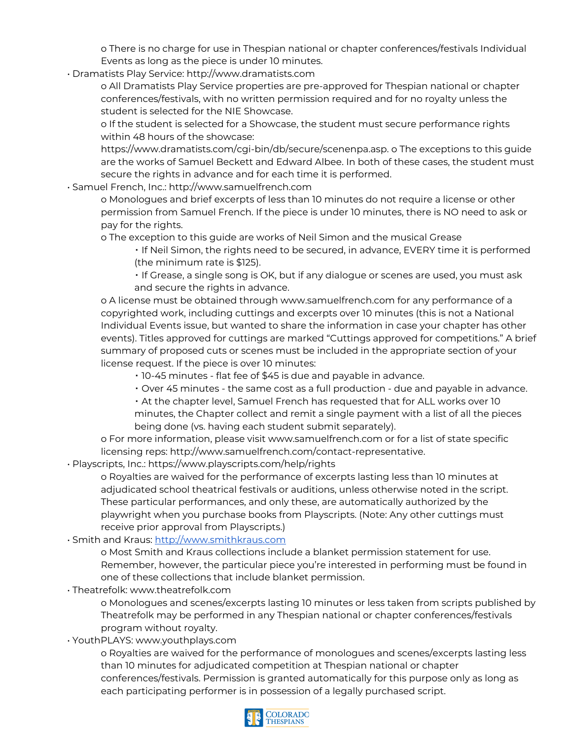o There is no charge for use in Thespian national or chapter conferences/festivals Individual Events as long as the piece is under 10 minutes.

• Dramatists Play Service: http://www.dramatists.com

o All Dramatists Play Service properties are pre-approved for Thespian national or chapter conferences/festivals, with no written permission required and for no royalty unless the student is selected for the NIE Showcase.

o If the student is selected for a Showcase, the student must secure performance rights within 48 hours of the showcase:

https://www.dramatists.com/cgi-bin/db/secure/scenenpa.asp. o The exceptions to this guide are the works of Samuel Beckett and Edward Albee. In both of these cases, the student must secure the rights in advance and for each time it is performed.

• Samuel French, Inc.: http://www.samuelfrench.com

o Monologues and brief excerpts of less than 10 minutes do not require a license or other permission from Samuel French. If the piece is under 10 minutes, there is NO need to ask or pay for the rights.

o The exception to this guide are works of Neil Simon and the musical Grease

▪ If Neil Simon, the rights need to be secured, in advance, EVERY time it is performed (the minimum rate is \$125).

 $\cdot$  If Grease, a single song is OK, but if any dialogue or scenes are used, you must ask and secure the rights in advance.

o A license must be obtained through www.samuelfrench.com for any performance of a copyrighted work, including cuttings and excerpts over 10 minutes (this is not a National Individual Events issue, but wanted to share the information in case your chapter has other events). Titles approved for cuttings are marked "Cuttings approved for competitions." A brief summary of proposed cuts or scenes must be included in the appropriate section of your license request. If the piece is over 10 minutes:

- 10-45 minutes flat fee of \$45 is due and payable in advance.
- Over 45 minutes the same cost as a full production due and payable in advance.

▪ At the chapter level, Samuel French has requested that for ALL works over 10 minutes, the Chapter collect and remit a single payment with a list of all the pieces being done (vs. having each student submit separately).

o For more information, please visit www.samuelfrench.com or for a list of state specific licensing reps: http://www.samuelfrench.com/contact-representative.

• Playscripts, Inc.: https://www.playscripts.com/help/rights

o Royalties are waived for the performance of excerpts lasting less than 10 minutes at adjudicated school theatrical festivals or auditions, unless otherwise noted in the script. These particular performances, and only these, are automatically authorized by the playwright when you purchase books from Playscripts. (Note: Any other cuttings must receive prior approval from Playscripts.)

• Smith and Kraus: [http://www.smithkraus.com](http://www.smithkraus.com/)

o Most Smith and Kraus collections include a blanket permission statement for use. Remember, however, the particular piece you're interested in performing must be found in one of these collections that include blanket permission.

• Theatrefolk: www.theatrefolk.com

o Monologues and scenes/excerpts lasting 10 minutes or less taken from scripts published by Theatrefolk may be performed in any Thespian national or chapter conferences/festivals program without royalty.

• YouthPLAYS: www.youthplays.com

o Royalties are waived for the performance of monologues and scenes/excerpts lasting less than 10 minutes for adjudicated competition at Thespian national or chapter conferences/festivals. Permission is granted automatically for this purpose only as long as each participating performer is in possession of a legally purchased script.